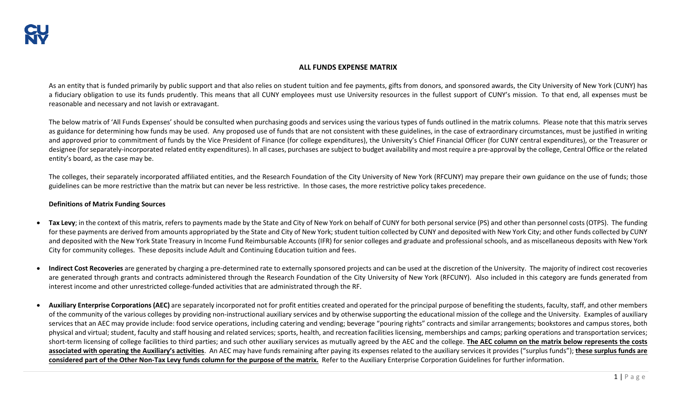## **ALL FUNDS EXPENSE MATRIX**

As an entity that is funded primarily by public support and that also relies on student tuition and fee payments, gifts from donors, and sponsored awards, the City University of New York (CUNY) has a fiduciary obligation to use its funds prudently. This means that all CUNY employees must use University resources in the fullest support of CUNY's mission. To that end, all expenses must be reasonable and necessary and not lavish or extravagant.

The below matrix of 'All Funds Expenses' should be consulted when purchasing goods and services using the various types of funds outlined in the matrix columns. Please note that this matrix serves as guidance for determining how funds may be used. Any proposed use of funds that are not consistent with these guidelines, in the case of extraordinary circumstances, must be justified in writing and approved prior to commitment of funds by the Vice President of Finance (for college expenditures), the University's Chief Financial Officer (for CUNY central expenditures), or the Treasurer or designee (for separately-incorporated related entity expenditures). In all cases, purchases are subject to budget availability and most require a pre-approval by the college, Central Office or the related entity's board, as the case may be.

The colleges, their separately incorporated affiliated entities, and the Research Foundation of the City University of New York (RFCUNY) may prepare their own guidance on the use of funds; those guidelines can be more restrictive than the matrix but can never be less restrictive. In those cases, the more restrictive policy takes precedence.

## **Definitions of Matrix Funding Sources**

- **Tax Levy**; in the context of this matrix, refers to payments made by the State and City of New York on behalf of CUNY for both personal service (PS) and other than personnel costs (OTPS). The funding for these payments are derived from amounts appropriated by the State and City of New York; student tuition collected by CUNY and deposited with New York City; and other funds collected by CUNY and deposited with the New York State Treasury in Income Fund Reimbursable Accounts (IFR) for senior colleges and graduate and professional schools, and as miscellaneous deposits with New York City for community colleges. These deposits include Adult and Continuing Education tuition and fees.
- **Indirect Cost Recoveries** are generated by charging a pre-determined rate to externally sponsored projects and can be used at the discretion of the University. The majority of indirect cost recoveries are generated through grants and contracts administered through the Research Foundation of the City University of New York (RFCUNY). Also included in this category are funds generated from interest income and other unrestricted college-funded activities that are administrated through the RF.
- Auxiliary Enterprise Corporations (AEC) are separately incorporated not for profit entities created and operated for the principal purpose of benefiting the students, faculty, staff, and other members of the community of the various colleges by providing non-instructional auxiliary services and by otherwise supporting the educational mission of the college and the University. Examples of auxiliary services that an AEC may provide include: food service operations, including catering and vending; beverage "pouring rights" contracts and similar arrangements; bookstores and campus stores, both physical and virtual; student, faculty and staff housing and related services; sports, health, and recreation facilities licensing, memberships and camps; parking operations and transportation services; short-term licensing of college facilities to third parties; and such other auxiliary services as mutually agreed by the AEC and the college. **The AEC column on the matrix below represents the costs associated with operating the Auxiliary's activities**. An AEC may have funds remaining after paying its expenses related to the auxiliary services it provides ("surplus funds"); **these surplus funds are considered part of the Other Non-Tax Levy funds column for the purpose of the matrix.** Refer to the Auxiliary Enterprise Corporation Guidelines for further information.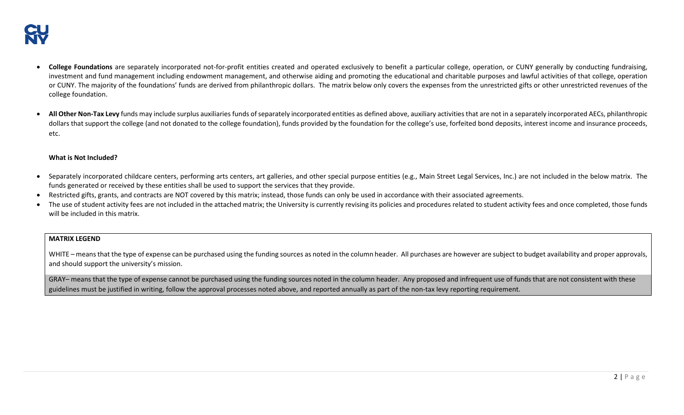- **College Foundations** are separately incorporated not-for-profit entities created and operated exclusively to benefit a particular college, operation, or CUNY generally by conducting fundraising, investment and fund management including endowment management, and otherwise aiding and promoting the educational and charitable purposes and lawful activities of that college, operation or CUNY. The majority of the foundations' funds are derived from philanthropic dollars. The matrix below only covers the expenses from the unrestricted gifts or other unrestricted revenues of the college foundation.
- **All Other Non-Tax Levy** funds may include surplus auxiliaries funds of separately incorporated entities as defined above, auxiliary activities that are not in a separately incorporated AECs, philanthropic dollars that support the college (and not donated to the college foundation), funds provided by the foundation for the college's use, forfeited bond deposits, interest income and insurance proceeds, etc.

## **What is Not Included?**

- Separately incorporated childcare centers, performing arts centers, art galleries, and other special purpose entities (e.g., Main Street Legal Services, Inc.) are not included in the below matrix. The funds generated or received by these entities shall be used to support the services that they provide.
- Restricted gifts, grants, and contracts are NOT covered by this matrix; instead, those funds can only be used in accordance with their associated agreements.
- The use of student activity fees are not included in the attached matrix; the University is currently revising its policies and procedures related to student activity fees and once completed, those funds will be included in this matrix.

## **MATRIX LEGEND**

WHITE – means that the type of expense can be purchased using the funding sources as noted in the column header. All purchases are however are subject to budget availability and proper approvals, and should support the university's mission.

GRAY- means that the type of expense cannot be purchased using the funding sources noted in the column header. Any proposed and infrequent use of funds that are not consistent with these guidelines must be justified in writing, follow the approval processes noted above, and reported annually as part of the non-tax levy reporting requirement.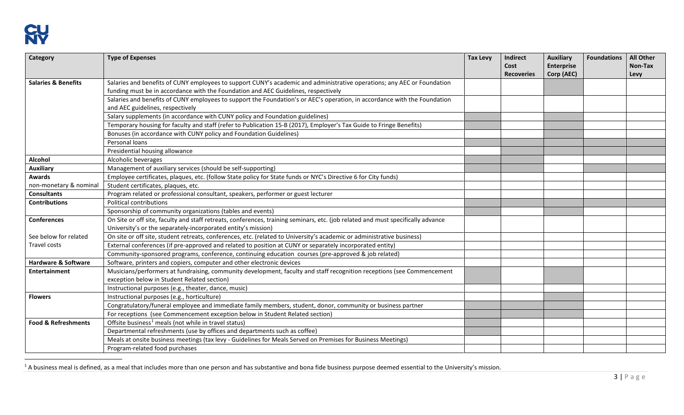<span id="page-2-0"></span>

| Category                       | <b>Type of Expenses</b>                                                                                                          | <b>Tax Levy</b> | Indirect<br>Cost<br><b>Recoveries</b> | <b>Auxiliary</b><br><b>Enterprise</b><br>Corp (AEC) | <b>Foundations</b> | <b>All Other</b><br>Non-Tax<br>Levy |
|--------------------------------|----------------------------------------------------------------------------------------------------------------------------------|-----------------|---------------------------------------|-----------------------------------------------------|--------------------|-------------------------------------|
| <b>Salaries &amp; Benefits</b> | Salaries and benefits of CUNY employees to support CUNY's academic and administrative operations; any AEC or Foundation          |                 |                                       |                                                     |                    |                                     |
|                                | funding must be in accordance with the Foundation and AEC Guidelines, respectively                                               |                 |                                       |                                                     |                    |                                     |
|                                | Salaries and benefits of CUNY employees to support the Foundation's or AEC's operation, in accordance with the Foundation        |                 |                                       |                                                     |                    |                                     |
|                                | and AEC guidelines, respectively                                                                                                 |                 |                                       |                                                     |                    |                                     |
|                                | Salary supplements (in accordance with CUNY policy and Foundation guidelines)                                                    |                 |                                       |                                                     |                    |                                     |
|                                | Temporary housing for faculty and staff (refer to Publication 15-B (2017), Employer's Tax Guide to Fringe Benefits)              |                 |                                       |                                                     |                    |                                     |
|                                | Bonuses (in accordance with CUNY policy and Foundation Guidelines)                                                               |                 |                                       |                                                     |                    |                                     |
|                                | Personal loans                                                                                                                   |                 |                                       |                                                     |                    |                                     |
|                                | Presidential housing allowance                                                                                                   |                 |                                       |                                                     |                    |                                     |
| Alcohol                        | Alcoholic beverages                                                                                                              |                 |                                       |                                                     |                    |                                     |
| <b>Auxiliary</b>               | Management of auxiliary services (should be self-supporting)                                                                     |                 |                                       |                                                     |                    |                                     |
| <b>Awards</b>                  | Employee certificates, plaques, etc. (follow State policy for State funds or NYC's Directive 6 for City funds)                   |                 |                                       |                                                     |                    |                                     |
| non-monetary & nominal         | Student certificates, plaques, etc.                                                                                              |                 |                                       |                                                     |                    |                                     |
| <b>Consultants</b>             | Program related or professional consultant, speakers, performer or guest lecturer                                                |                 |                                       |                                                     |                    |                                     |
| <b>Contributions</b>           | Political contributions                                                                                                          |                 |                                       |                                                     |                    |                                     |
|                                | Sponsorship of community organizations (tables and events)                                                                       |                 |                                       |                                                     |                    |                                     |
| Conferences                    | On Site or off site, faculty and staff retreats, conferences, training seminars, etc. (job related and must specifically advance |                 |                                       |                                                     |                    |                                     |
|                                | University's or the separately-incorporated entity's mission)                                                                    |                 |                                       |                                                     |                    |                                     |
| See below for related          | On site or off site, student retreats, conferences, etc. (related to University's academic or administrative business)           |                 |                                       |                                                     |                    |                                     |
| Travel costs                   | External conferences (if pre-approved and related to position at CUNY or separately incorporated entity)                         |                 |                                       |                                                     |                    |                                     |
|                                | Community-sponsored programs, conference, continuing education courses (pre-approved & job related)                              |                 |                                       |                                                     |                    |                                     |
| <b>Hardware &amp; Software</b> | Software, printers and copiers, computer and other electronic devices                                                            |                 |                                       |                                                     |                    |                                     |
| <b>Entertainment</b>           | Musicians/performers at fundraising, community development, faculty and staff recognition receptions (see Commencement           |                 |                                       |                                                     |                    |                                     |
|                                | exception below in Student Related section)                                                                                      |                 |                                       |                                                     |                    |                                     |
|                                | Instructional purposes (e.g., theater, dance, music)                                                                             |                 |                                       |                                                     |                    |                                     |
| <b>Flowers</b>                 | Instructional purposes (e.g., horticulture)                                                                                      |                 |                                       |                                                     |                    |                                     |
|                                | Congratulatory/funeral employee and immediate family members, student, donor, community or business partner                      |                 |                                       |                                                     |                    |                                     |
|                                | For receptions (see Commencement exception below in Student Related section)                                                     |                 |                                       |                                                     |                    |                                     |
| <b>Food &amp; Refreshments</b> | Offsite business <sup>1</sup> meals (not while in travel status)                                                                 |                 |                                       |                                                     |                    |                                     |
|                                | Departmental refreshments (use by offices and departments such as coffee)                                                        |                 |                                       |                                                     |                    |                                     |
|                                | Meals at onsite business meetings (tax levy - Guidelines for Meals Served on Premises for Business Meetings)                     |                 |                                       |                                                     |                    |                                     |
|                                | Program-related food purchases                                                                                                   |                 |                                       |                                                     |                    |                                     |

 $1$  A business meal is defined, as a meal that includes more than one person and has substantive and bona fide business purpose deemed essential to the University's mission.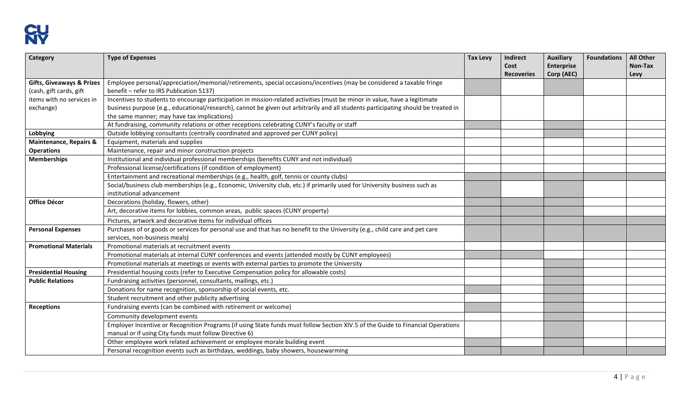

| Category                             | <b>Type of Expenses</b>                                                                                                            | <b>Tax Levy</b> | <b>Indirect</b><br>Cost<br><b>Recoveries</b> | <b>Auxiliary</b><br><b>Enterprise</b><br>Corp (AEC) | <b>Foundations</b> | <b>All Other</b><br>Non-Tax<br>Levy |
|--------------------------------------|------------------------------------------------------------------------------------------------------------------------------------|-----------------|----------------------------------------------|-----------------------------------------------------|--------------------|-------------------------------------|
| <b>Gifts, Giveaways &amp; Prizes</b> | Employee personal/appreciation/memorial/retirements, special occasions/incentives (may be considered a taxable fringe              |                 |                                              |                                                     |                    |                                     |
| (cash, gift cards, gift              | benefit - refer to IRS Publication 5137)                                                                                           |                 |                                              |                                                     |                    |                                     |
| items with no services in            | Incentives to students to encourage participation in mission-related activities (must be minor in value, have a legitimate         |                 |                                              |                                                     |                    |                                     |
| exchange)                            | business purpose {e.g., educational/research}, cannot be given out arbitrarily and all students participating should be treated in |                 |                                              |                                                     |                    |                                     |
|                                      | the same manner; may have tax implications)                                                                                        |                 |                                              |                                                     |                    |                                     |
|                                      | At fundraising, community relations or other receptions celebrating CUNY's faculty or staff                                        |                 |                                              |                                                     |                    |                                     |
| Lobbying                             | Outside lobbying consultants (centrally coordinated and approved per CUNY policy)                                                  |                 |                                              |                                                     |                    |                                     |
| <b>Maintenance, Repairs &amp;</b>    | Equipment, materials and supplies                                                                                                  |                 |                                              |                                                     |                    |                                     |
| <b>Operations</b>                    | Maintenance, repair and minor construction projects                                                                                |                 |                                              |                                                     |                    |                                     |
| <b>Memberships</b>                   | Institutional and individual professional memberships (benefits CUNY and not individual)                                           |                 |                                              |                                                     |                    |                                     |
|                                      | Professional license/certifications (if condition of employment)                                                                   |                 |                                              |                                                     |                    |                                     |
|                                      | Entertainment and recreational memberships (e.g., health, golf, tennis or county clubs)                                            |                 |                                              |                                                     |                    |                                     |
|                                      | Social/business club memberships (e.g., Economic, University club, etc.) if primarily used for University business such as         |                 |                                              |                                                     |                    |                                     |
|                                      | institutional advancement                                                                                                          |                 |                                              |                                                     |                    |                                     |
| <b>Office Décor</b>                  | Decorations (holiday, flowers, other)                                                                                              |                 |                                              |                                                     |                    |                                     |
|                                      | Art, decorative items for lobbies, common areas, public spaces (CUNY property)                                                     |                 |                                              |                                                     |                    |                                     |
|                                      | Pictures, artwork and decorative items for individual offices                                                                      |                 |                                              |                                                     |                    |                                     |
| <b>Personal Expenses</b>             | Purchases of or goods or services for personal use and that has no benefit to the University (e.g., child care and pet care        |                 |                                              |                                                     |                    |                                     |
|                                      | services, non-business meals)                                                                                                      |                 |                                              |                                                     |                    |                                     |
| <b>Promotional Materials</b>         | Promotional materials at recruitment events                                                                                        |                 |                                              |                                                     |                    |                                     |
|                                      | Promotional materials at internal CUNY conferences and events (attended mostly by CUNY employees)                                  |                 |                                              |                                                     |                    |                                     |
|                                      | Promotional materials at meetings or events with external parties to promote the University                                        |                 |                                              |                                                     |                    |                                     |
| <b>Presidential Housing</b>          | Presidential housing costs (refer to Executive Compensation policy for allowable costs)                                            |                 |                                              |                                                     |                    |                                     |
| <b>Public Relations</b>              | Fundraising activities (personnel, consultants, mailings, etc.)                                                                    |                 |                                              |                                                     |                    |                                     |
|                                      | Donations for name recognition, sponsorship of social events, etc.                                                                 |                 |                                              |                                                     |                    |                                     |
|                                      | Student recruitment and other publicity advertising                                                                                |                 |                                              |                                                     |                    |                                     |
| <b>Receptions</b>                    | Fundraising events (can be combined with retirement or welcome)                                                                    |                 |                                              |                                                     |                    |                                     |
|                                      | Community development events                                                                                                       |                 |                                              |                                                     |                    |                                     |
|                                      | Employer Incentive or Recognition Programs (if using State funds must follow Section XIV.5 of the Guide to Financial Operations    |                 |                                              |                                                     |                    |                                     |
|                                      | manual or if using City funds must follow Directive 6)                                                                             |                 |                                              |                                                     |                    |                                     |
|                                      | Other employee work related achievement or employee morale building event                                                          |                 |                                              |                                                     |                    |                                     |
|                                      | Personal recognition events such as birthdays, weddings, baby showers, housewarming                                                |                 |                                              |                                                     |                    |                                     |